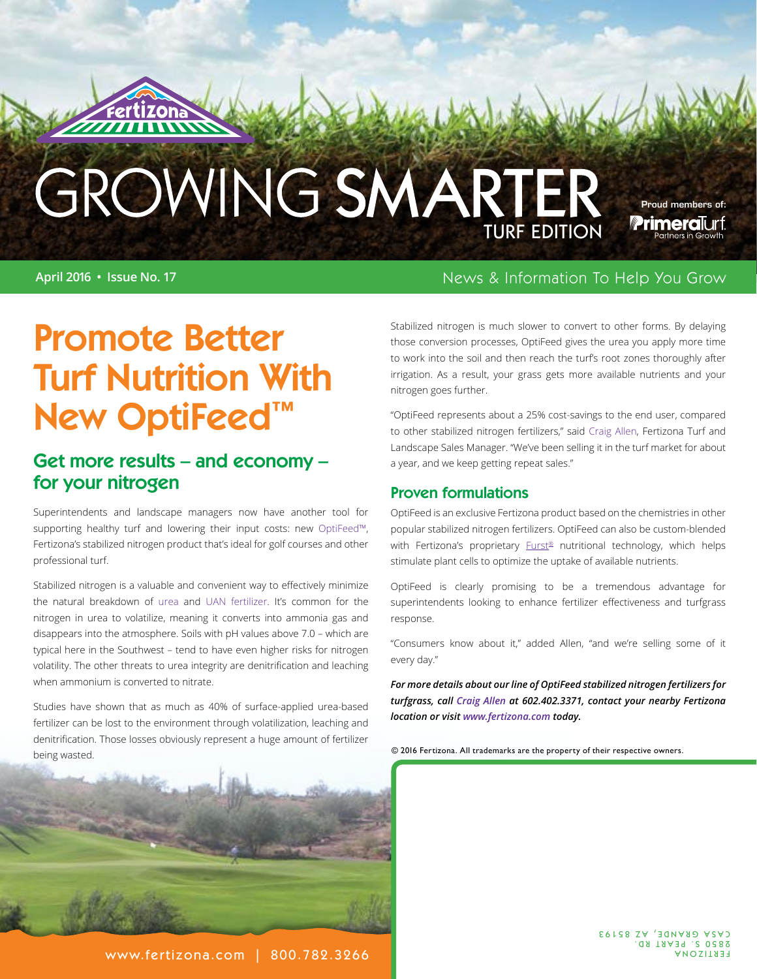# GROWING SMARTER

**April 2016 • Issue No. 17** News & Information To Help You Grow

Proud members of:

**Primeral**urf

## Promote Better Turf Nutrition With New OptiFeed™

#### Get more results – and economy – for your nitrogen

Superintendents and landscape managers now have another tool for supporting healthy turf and lowering their input costs: new [OptiFeed™](http://www.fertizona.com/products-smartblends.html#optifeed), Fertizona's stabilized nitrogen product that's ideal for golf courses and other professional turf.

Stabilized nitrogen is a valuable and convenient way to effectively minimize the natural breakdown of [urea and UAN fertilizer](http://www.fertizona.com/products-smartblends.html#uan). It's common for the nitrogen in urea to volatilize, meaning it converts into ammonia gas and disappears into the atmosphere. Soils with pH values above 7.0 – which are typical here in the Southwest – tend to have even higher risks for nitrogen volatility. The other threats to urea integrity are denitrification and leaching when ammonium is converted to nitrate.

Studies have shown that as much as 40% of surface-applied urea-based fertilizer can be lost to the environment through volatilization, leaching and denitrification. Those losses obviously represent a huge amount of fertilizer being wasted.



Stabilized nitrogen is much slower to convert to other forms. By delaying those conversion processes, OptiFeed gives the urea you apply more time to work into the soil and then reach the turf's root zones thoroughly after irrigation. As a result, your grass gets more available nutrients and your nitrogen goes further.

"OptiFeed represents about a 25% cost-savings to the end user, compared to other stabilized nitrogen fertilizers," said [Craig Allen](http://fertizona.com/fennemore.html#craig), Fertizona Turf and Landscape Sales Manager. "We've been selling it in the turf market for about a year, and we keep getting repeat sales."

#### Proven formulations

OptiFeed is an exclusive Fertizona product based on the chemistries in other popular stabilized nitrogen fertilizers. OptiFeed can also be custom-blended with Fertizona's proprietary [Furst®](http://fertizona.com/furst-class-concentrate.html) nutritional technology, which helps stimulate plant cells to optimize the uptake of available nutrients.

OptiFeed is clearly promising to be a tremendous advantage for superintendents looking to enhance fertilizer effectiveness and turfgrass response.

"Consumers know about it," added Allen, "and we're selling some of it every day."

*For more details about our line of OptiFeed stabilized nitrogen fertilizers for turfgrass, call [Craig Allen](http://fertizona.com/fennemore.html#craig) at 602.402.3371, contact your nearby Fertizona location or visit [www.fertizona.com](http://www.fertizona.com) today.*

© 2016 Fertizona. All trademarks are the property of their respective owners.